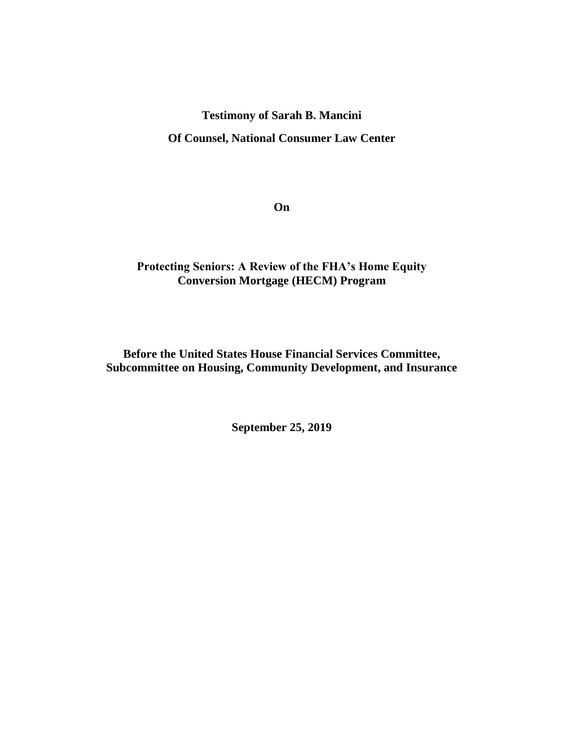### **Testimony of Sarah B. Mancini**

**Of Counsel, National Consumer Law Center**

**On**

# **Protecting Seniors: A Review of the FHA's Home Equity Conversion Mortgage (HECM) Program**

# **Before the United States House Financial Services Committee, Subcommittee on Housing, Community Development, and Insurance**

**September 25, 2019**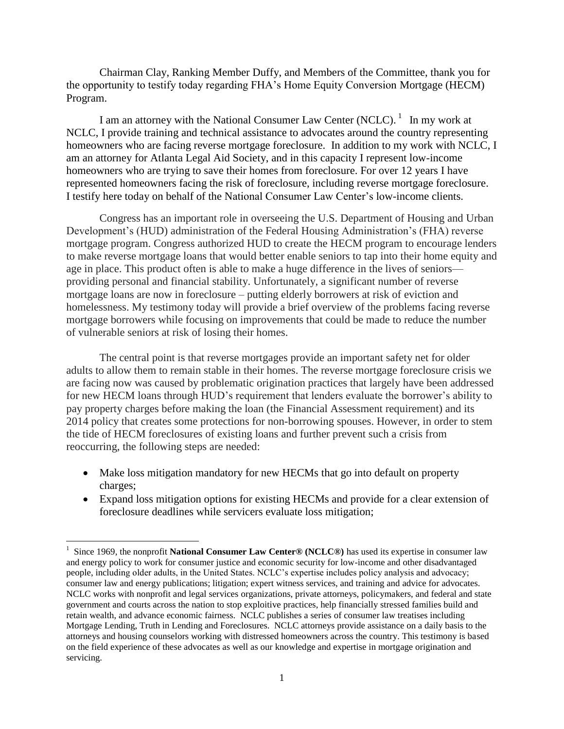Chairman Clay, Ranking Member Duffy, and Members of the Committee, thank you for the opportunity to testify today regarding FHA's Home Equity Conversion Mortgage (HECM) Program.

I am an attorney with the National Consumer Law Center (NCLC).  $<sup>1</sup>$  In my work at</sup> NCLC, I provide training and technical assistance to advocates around the country representing homeowners who are facing reverse mortgage foreclosure. In addition to my work with NCLC, I am an attorney for Atlanta Legal Aid Society, and in this capacity I represent low-income homeowners who are trying to save their homes from foreclosure. For over 12 years I have represented homeowners facing the risk of foreclosure, including reverse mortgage foreclosure. I testify here today on behalf of the National Consumer Law Center's low-income clients.

Congress has an important role in overseeing the U.S. Department of Housing and Urban Development's (HUD) administration of the Federal Housing Administration's (FHA) reverse mortgage program. Congress authorized HUD to create the HECM program to encourage lenders to make reverse mortgage loans that would better enable seniors to tap into their home equity and age in place. This product often is able to make a huge difference in the lives of seniors providing personal and financial stability. Unfortunately, a significant number of reverse mortgage loans are now in foreclosure – putting elderly borrowers at risk of eviction and homelessness. My testimony today will provide a brief overview of the problems facing reverse mortgage borrowers while focusing on improvements that could be made to reduce the number of vulnerable seniors at risk of losing their homes.

The central point is that reverse mortgages provide an important safety net for older adults to allow them to remain stable in their homes. The reverse mortgage foreclosure crisis we are facing now was caused by problematic origination practices that largely have been addressed for new HECM loans through HUD's requirement that lenders evaluate the borrower's ability to pay property charges before making the loan (the Financial Assessment requirement) and its 2014 policy that creates some protections for non-borrowing spouses. However, in order to stem the tide of HECM foreclosures of existing loans and further prevent such a crisis from reoccurring, the following steps are needed:

- Make loss mitigation mandatory for new HECMs that go into default on property charges;
- Expand loss mitigation options for existing HECMs and provide for a clear extension of foreclosure deadlines while servicers evaluate loss mitigation;

 $\overline{\phantom{a}}$ <sup>1</sup> Since 1969, the nonprofit **National Consumer Law Center® (NCLC®)** has used its expertise in consumer law and energy policy to work for consumer justice and economic security for low-income and other disadvantaged people, including older adults, in the United States. NCLC's expertise includes policy analysis and advocacy; consumer law and energy publications; litigation; expert witness services, and training and advice for advocates. NCLC works with nonprofit and legal services organizations, private attorneys, policymakers, and federal and state government and courts across the nation to stop exploitive practices, help financially stressed families build and retain wealth, and advance economic fairness. NCLC publishes a series of consumer law treatises including Mortgage Lending, Truth in Lending and Foreclosures. NCLC attorneys provide assistance on a daily basis to the attorneys and housing counselors working with distressed homeowners across the country. This testimony is based on the field experience of these advocates as well as our knowledge and expertise in mortgage origination and servicing.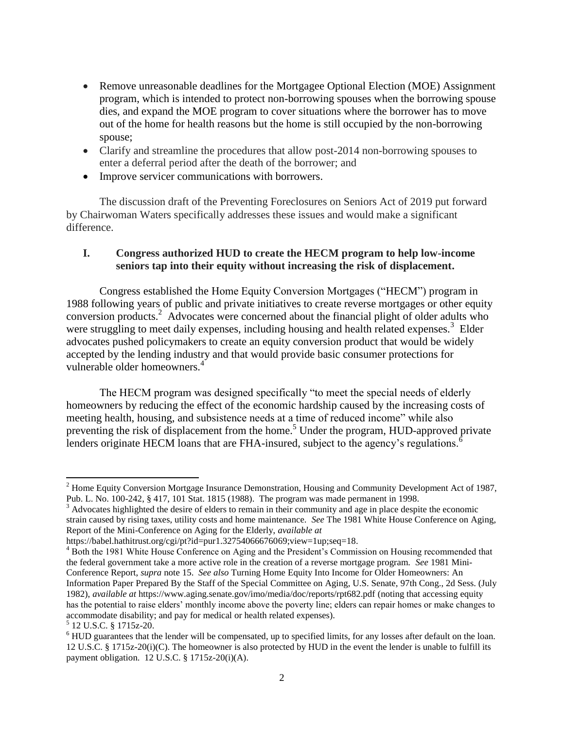- Remove unreasonable deadlines for the Mortgagee Optional Election (MOE) Assignment program, which is intended to protect non-borrowing spouses when the borrowing spouse dies, and expand the MOE program to cover situations where the borrower has to move out of the home for health reasons but the home is still occupied by the non-borrowing spouse;
- Clarify and streamline the procedures that allow post-2014 non-borrowing spouses to enter a deferral period after the death of the borrower; and
- Improve servicer communications with borrowers.

The discussion draft of the Preventing Foreclosures on Seniors Act of 2019 put forward by Chairwoman Waters specifically addresses these issues and would make a significant difference.

### **I. Congress authorized HUD to create the HECM program to help low-income seniors tap into their equity without increasing the risk of displacement.**

Congress established the Home Equity Conversion Mortgages ("HECM") program in 1988 following years of public and private initiatives to create reverse mortgages or other equity conversion products.<sup>2</sup> Advocates were concerned about the financial plight of older adults who were struggling to meet daily expenses, including housing and health related expenses.<sup>3</sup> Elder advocates pushed policymakers to create an equity conversion product that would be widely accepted by the lending industry and that would provide basic consumer protections for vulnerable older homeowners.<sup>4</sup>

The HECM program was designed specifically "to meet the special needs of elderly homeowners by reducing the effect of the economic hardship caused by the increasing costs of meeting health, housing, and subsistence needs at a time of reduced income" while also preventing the risk of displacement from the home.<sup>5</sup> Under the program, HUD-approved private lenders originate HECM loans that are FHA-insured, subject to the agency's regulations.<sup>6</sup>

 $2$  Home Equity Conversion Mortgage Insurance Demonstration, Housing and Community Development Act of 1987, Pub. L. No. 100-242, § 417, 101 Stat. 1815 (1988). The program was made permanent in 1998.

 $3$  Advocates highlighted the desire of elders to remain in their community and age in place despite the economic strain caused by rising taxes, utility costs and home maintenance. *See* The 1981 White House Conference on Aging, Report of the Mini-Conference on Aging for the Elderly, *available at*

[https://babel.hathitrust.org/cgi/pt?id=pur1.32754066676069;view=1up;seq=18.](https://babel.hathitrust.org/cgi/pt?id=pur1.32754066676069;view=1up;seq=18)

<sup>&</sup>lt;sup>4</sup> Both the 1981 White House Conference on Aging and the President's Commission on Housing recommended that the federal government take a more active role in the creation of a reverse mortgage program. *See* 1981 Mini-Conference Report, *supra* note 15. *See also* Turning Home Equity Into Income for Older Homeowners: An Information Paper Prepared By the Staff of the Special Committee on Aging, U.S. Senate, 97th Cong., 2d Sess. (July 1982), *available at* <https://www.aging.senate.gov/imo/media/doc/reports/rpt682.pdf> (noting that accessing equity has the potential to raise elders' monthly income above the poverty line; elders can repair homes or make changes to accommodate disability; and pay for medical or health related expenses).

<sup>5</sup> 12 U.S.C. § 1715z-20.

<sup>&</sup>lt;sup>6</sup> HUD guarantees that the lender will be compensated, up to specified limits, for any losses after default on the loan. 12 U.S.C. § 1715z-20(i)(C). The homeowner is also protected by HUD in the event the lender is unable to fulfill its payment obligation. 12 U.S.C. § 1715z-20(i)(A).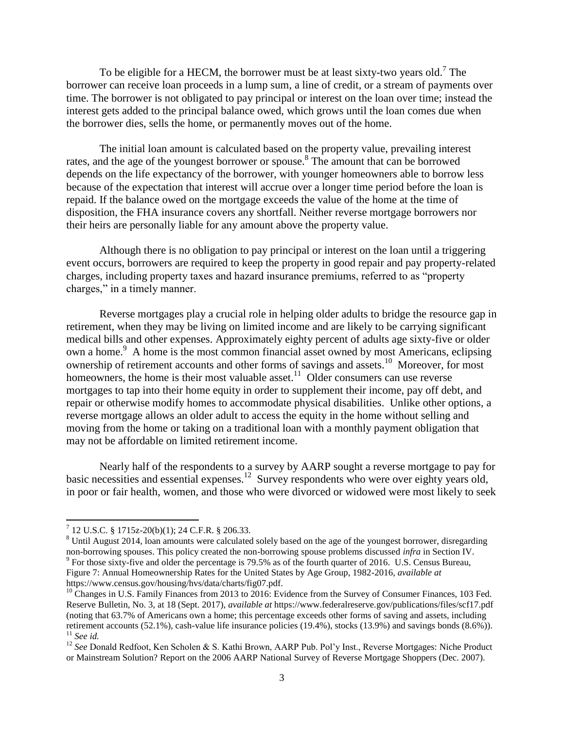To be eligible for a HECM, the borrower must be at least sixty-two years old.<sup>7</sup> The borrower can receive loan proceeds in a lump sum, a line of credit, or a stream of payments over time. The borrower is not obligated to pay principal or interest on the loan over time; instead the interest gets added to the principal balance owed, which grows until the loan comes due when the borrower dies, sells the home, or permanently moves out of the home.

The initial loan amount is calculated based on the property value, prevailing interest rates, and the age of the youngest borrower or spouse. 8 The amount that can be borrowed depends on the life expectancy of the borrower, with younger homeowners able to borrow less because of the expectation that interest will accrue over a longer time period before the loan is repaid. If the balance owed on the mortgage exceeds the value of the home at the time of disposition, the FHA insurance covers any shortfall. Neither reverse mortgage borrowers nor their heirs are personally liable for any amount above the property value.

Although there is no obligation to pay principal or interest on the loan until a triggering event occurs, borrowers are required to keep the property in good repair and pay property-related charges, including property taxes and hazard insurance premiums, referred to as "property charges," in a timely manner.

Reverse mortgages play a crucial role in helping older adults to bridge the resource gap in retirement, when they may be living on limited income and are likely to be carrying significant medical bills and other expenses. Approximately eighty percent of adults age sixty-five or older own a home.<sup>9</sup> A home is the most common financial asset owned by most Americans, eclipsing ownership of retirement accounts and other forms of savings and assets.<sup>10</sup> Moreover, for most homeowners, the home is their most valuable asset.<sup>11</sup> Older consumers can use reverse mortgages to tap into their home equity in order to supplement their income, pay off debt, and repair or otherwise modify homes to accommodate physical disabilities. Unlike other options, a reverse mortgage allows an older adult to access the equity in the home without selling and moving from the home or taking on a traditional loan with a monthly payment obligation that may not be affordable on limited retirement income.

Nearly half of the respondents to a survey by AARP sought a reverse mortgage to pay for basic necessities and essential expenses.<sup>12</sup> Survey respondents who were over eighty years old, in poor or fair health, women, and those who were divorced or widowed were most likely to seek

 7 12 U.S.C. § 1715z-20(b)(1); 24 C.F.R. § 206.33.

<sup>&</sup>lt;sup>8</sup> Until August 2014, loan amounts were calculated solely based on the age of the youngest borrower, disregarding non-borrowing spouses. This policy created the non-borrowing spouse problems discussed *infra* in Section IV.

<sup>&</sup>lt;sup>9</sup> For those sixty-five and older the percentage is 79.5% as of the fourth quarter of 2016. U.S. Census Bureau, Figure 7: Annual Homeownership Rates for the United States by Age Group, 1982-2016, *available at* https://www.census.gov/housing/hvs/data/charts/fig07.pdf.

 $10$  Changes in U.S. Family Finances from 2013 to 2016: Evidence from the Survey of Consumer Finances, 103 Fed. Reserve Bulletin, No. 3, at 18 (Sept. 2017), *available at* <https://www.federalreserve.gov/publications/files/scf17.pdf> (noting that 63.7% of Americans own a home; this percentage exceeds other forms of saving and assets, including retirement accounts (52.1%), cash-value life insurance policies (19.4%), stocks (13.9%) and savings bonds (8.6%)). <sup>11</sup> *See id.*

<sup>&</sup>lt;sup>12</sup> See Donald Redfoot, Ken Scholen & S. Kathi Brown, AARP Pub. Pol'y Inst., Reverse Mortgages: Niche Product or Mainstream Solution? Report on the 2006 AARP National Survey of Reverse Mortgage Shoppers (Dec. 2007).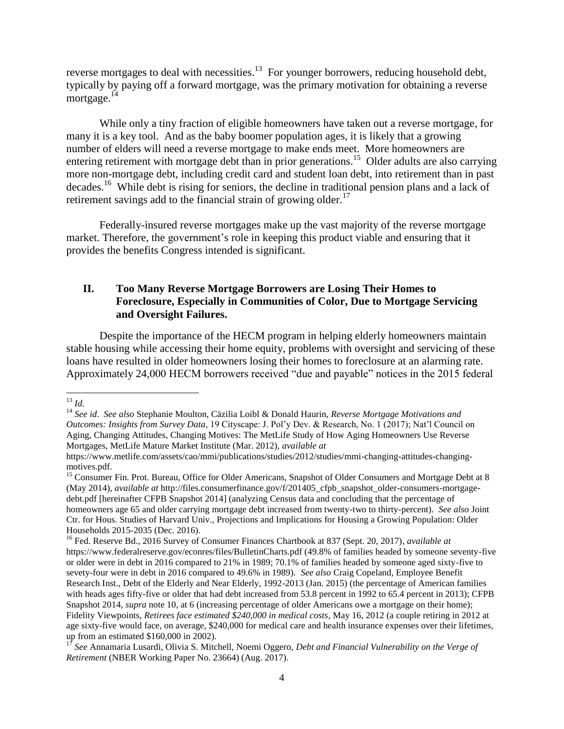reverse mortgages to deal with necessities. $^{13}$  For younger borrowers, reducing household debt, typically by paying off a forward mortgage, was the primary motivation for obtaining a reverse mortgage.<sup>14</sup>

While only a tiny fraction of eligible homeowners have taken out a reverse mortgage, for many it is a key tool. And as the baby boomer population ages, it is likely that a growing number of elders will need a reverse mortgage to make ends meet. More homeowners are entering retirement with mortgage debt than in prior generations.<sup>15</sup> Older adults are also carrying more non-mortgage debt, including credit card and student loan debt, into retirement than in past decades.<sup>16</sup> While debt is rising for seniors, the decline in traditional pension plans and a lack of retirement savings add to the financial strain of growing older.<sup>17</sup>

Federally-insured reverse mortgages make up the vast majority of the reverse mortgage market. Therefore, the government's role in keeping this product viable and ensuring that it provides the benefits Congress intended is significant.

## **II. Too Many Reverse Mortgage Borrowers are Losing Their Homes to Foreclosure, Especially in Communities of Color, Due to Mortgage Servicing and Oversight Failures.**

Despite the importance of the HECM program in helping elderly homeowners maintain stable housing while accessing their home equity, problems with oversight and servicing of these loans have resulted in older homeowners losing their homes to foreclosure at an alarming rate. Approximately 24,000 HECM borrowers received "due and payable" notices in the 2015 federal

<sup>13</sup> *Id.*

<sup>14</sup> *See id*. *See also* Stephanie Moulton, Cäzilia Loibl & Donald Haurin, *Reverse Mortgage Motivations and Outcomes: Insights from Survey Data*, 19 Cityscape: J. Pol'y Dev. & Research, No. 1 (2017); Nat'l Council on Aging, Changing Attitudes, Changing Motives: The MetLife Study of How Aging Homeowners Use Reverse Mortgages, MetLife Mature Market Institute (Mar. 2012), *available at*

[https://www.metlife.com/assets/cao/mmi/publications/studies/2012/studies/mmi-changing-attitudes-changing](https://www.metlife.com/assets/cao/mmi/publications/studies/2012/studies/mmi-changing-attitudes-changing-motives.pdf)[motives.pdf.](https://www.metlife.com/assets/cao/mmi/publications/studies/2012/studies/mmi-changing-attitudes-changing-motives.pdf)

<sup>&</sup>lt;sup>15</sup> Consumer Fin. Prot. Bureau, Office for Older Americans, Snapshot of Older Consumers and Mortgage Debt at 8 (May 2014), *available at* [http://files.consumerfinance.gov/f/201405\\_cfpb\\_snapshot\\_older-consumers-mortgage](http://files.consumerfinance.gov/f/201405_cfpb_snapshot_older-consumers-mortgage-debt.pdf)[debt.pdf](http://files.consumerfinance.gov/f/201405_cfpb_snapshot_older-consumers-mortgage-debt.pdf) [hereinafter CFPB Snapshot 2014] (analyzing Census data and concluding that the percentage of homeowners age 65 and older carrying mortgage debt increased from twenty-two to thirty-percent). *See also* Joint Ctr. for Hous. Studies of Harvard Univ., Projections and Implications for Housing a Growing Population: Older Households 2015-2035 (Dec. 2016).

<sup>16</sup> Fed. Reserve Bd., 2016 Survey of Consumer Finances Chartbook at 837 (Sept. 20, 2017), *available at* https://www.federalreserve.gov/econres/files/BulletinCharts.pdf (49.8% of families headed by someone seventy-five or older were in debt in 2016 compared to 21% in 1989; 70.1% of families headed by someone aged sixty-five to sevety-four were in debt in 2016 compared to 49.6% in 1989). *See also* Craig Copeland, Employee Benefit Research Inst., Debt of the Elderly and Near Elderly, 1992-2013 (Jan. 2015) (the percentage of American families with heads ages fifty-five or older that had debt increased from 53.8 percent in 1992 to 65.4 percent in 2013); CFPB Snapshot 2014, *supra* note 10, at 6 (increasing percentage of older Americans owe a mortgage on their home); Fidelity Viewpoints, *Retirees face estimated \$240,000 in medical costs*, May 16, 2012 (a couple retiring in 2012 at age sixty-five would face, on average, \$240,000 for medical care and health insurance expenses over their lifetimes, up from an estimated \$160,000 in 2002).

<sup>17</sup> *See* Annamaria Lusardi, Olivia S. Mitchell, Noemi Oggero, *Debt and Financial Vulnerability on the Verge of Retirement* (NBER Working Paper No. 23664) (Aug. 2017).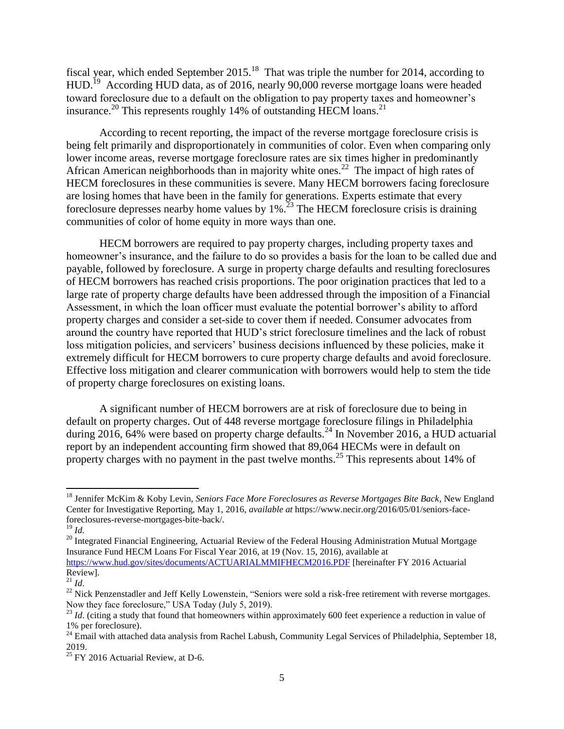fiscal year, which ended September 2015.<sup>18</sup> That was triple the number for 2014, according to HUD.<sup>19</sup> According HUD data, as of 2016, nearly 90,000 reverse mortgage loans were headed toward foreclosure due to a default on the obligation to pay property taxes and homeowner's insurance.<sup>20</sup> This represents roughly 14% of outstanding HECM loans.<sup>21</sup>

According to recent reporting, the impact of the reverse mortgage foreclosure crisis is being felt primarily and disproportionately in communities of color. Even when comparing only lower income areas, reverse mortgage foreclosure rates are six times higher in predominantly African American neighborhoods than in majority white ones.<sup>22</sup> The impact of high rates of HECM foreclosures in these communities is severe. Many HECM borrowers facing foreclosure are losing homes that have been in the family for generations. Experts estimate that every foreclosure depresses nearby home values by  $1\%$ .<sup>23</sup> The HECM foreclosure crisis is draining communities of color of home equity in more ways than one.

HECM borrowers are required to pay property charges, including property taxes and homeowner's insurance, and the failure to do so provides a basis for the loan to be called due and payable, followed by foreclosure. A surge in property charge defaults and resulting foreclosures of HECM borrowers has reached crisis proportions. The poor origination practices that led to a large rate of property charge defaults have been addressed through the imposition of a Financial Assessment, in which the loan officer must evaluate the potential borrower's ability to afford property charges and consider a set-side to cover them if needed. Consumer advocates from around the country have reported that HUD's strict foreclosure timelines and the lack of robust loss mitigation policies, and servicers' business decisions influenced by these policies, make it extremely difficult for HECM borrowers to cure property charge defaults and avoid foreclosure. Effective loss mitigation and clearer communication with borrowers would help to stem the tide of property charge foreclosures on existing loans.

A significant number of HECM borrowers are at risk of foreclosure due to being in default on property charges. Out of 448 reverse mortgage foreclosure filings in Philadelphia during 2016, 64% were based on property charge defaults.<sup>24</sup> In November 2016, a HUD actuarial report by an independent accounting firm showed that 89,064 HECMs were in default on property charges with no payment in the past twelve months.<sup>25</sup> This represents about 14% of

<sup>18</sup> Jennifer McKim & Koby Levin, *Seniors Face More Foreclosures as Reverse Mortgages Bite Back*, New England Center for Investigative Reporting, May 1, 2016, *available at* [https://www.necir.org/2016/05/01/seniors-face](https://www.necir.org/2016/05/01/seniors-face-foreclosures-reverse-mortgages-bite-back/)[foreclosures-reverse-mortgages-bite-back/.](https://www.necir.org/2016/05/01/seniors-face-foreclosures-reverse-mortgages-bite-back/) 

<sup>19</sup> *Id.*

<sup>&</sup>lt;sup>20</sup> Integrated Financial Engineering, Actuarial Review of the Federal Housing Administration Mutual Mortgage Insurance Fund HECM Loans For Fiscal Year 2016, at 19 (Nov. 15, 2016), available at

<https://www.hud.gov/sites/documents/ACTUARIALMMIFHECM2016.PDF> [hereinafter FY 2016 Actuarial Review].

<sup>21</sup> *Id*.

<sup>&</sup>lt;sup>22</sup> Nick Penzenstadler and Jeff Kelly Lowenstein, "Seniors were sold a risk-free retirement with reverse mortgages. Now they face foreclosure," USA Today (July 5, 2019).

<sup>&</sup>lt;sup>23</sup> *Id.* (citing a study that found that homeowners within approximately 600 feet experience a reduction in value of 1% per foreclosure).

<sup>&</sup>lt;sup>24</sup> Email with attached data analysis from Rachel Labush, Community Legal Services of Philadelphia, September 18, 2019.

<sup>25</sup> FY 2016 Actuarial Review*,* at D-6.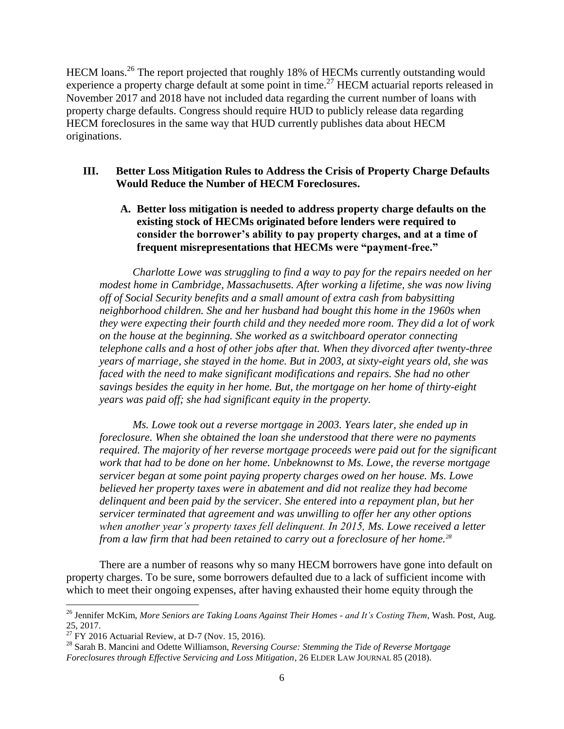HECM loans.<sup>26</sup> The report projected that roughly 18% of HECMs currently outstanding would experience a property charge default at some point in time.<sup>27</sup> HECM actuarial reports released in November 2017 and 2018 have not included data regarding the current number of loans with property charge defaults. Congress should require HUD to publicly release data regarding HECM foreclosures in the same way that HUD currently publishes data about HECM originations.

### **III. Better Loss Mitigation Rules to Address the Crisis of Property Charge Defaults Would Reduce the Number of HECM Foreclosures.**

**A. Better loss mitigation is needed to address property charge defaults on the existing stock of HECMs originated before lenders were required to consider the borrower's ability to pay property charges, and at a time of frequent misrepresentations that HECMs were "payment-free."** 

*Charlotte Lowe was struggling to find a way to pay for the repairs needed on her modest home in Cambridge, Massachusetts. After working a lifetime, she was now living off of Social Security benefits and a small amount of extra cash from babysitting neighborhood children. She and her husband had bought this home in the 1960s when they were expecting their fourth child and they needed more room. They did a lot of work on the house at the beginning. She worked as a switchboard operator connecting telephone calls and a host of other jobs after that. When they divorced after twenty-three years of marriage, she stayed in the home. But in 2003, at sixty-eight years old, she was faced with the need to make significant modifications and repairs. She had no other savings besides the equity in her home. But, the mortgage on her home of thirty-eight years was paid off; she had significant equity in the property.* 

*Ms. Lowe took out a reverse mortgage in 2003. Years later, she ended up in foreclosure. When she obtained the loan she understood that there were no payments required. The majority of her reverse mortgage proceeds were paid out for the significant work that had to be done on her home. Unbeknownst to Ms. Lowe, the reverse mortgage servicer began at some point paying property charges owed on her house. Ms. Lowe believed her property taxes were in abatement and did not realize they had become delinquent and been paid by the servicer. She entered into a repayment plan, but her servicer terminated that agreement and was unwilling to offer her any other options when another year's property taxes fell delinquent. In 2015, Ms. Lowe received a letter from a law firm that had been retained to carry out a foreclosure of her home.<sup>28</sup>*

There are a number of reasons why so many HECM borrowers have gone into default on property charges. To be sure, some borrowers defaulted due to a lack of sufficient income with which to meet their ongoing expenses, after having exhausted their home equity through the

 $\overline{a}$ 

<sup>26</sup> Jennifer McKim, *More Seniors are Taking Loans Against Their Homes - and It's Costing Them*, Wash. Post, Aug. 25, 2017.

 $27$  FY 2016 Actuarial Review, at D-7 (Nov. 15, 2016).

<sup>28</sup> Sarah B. Mancini and Odette Williamson, *Reversing Course: Stemming the Tide of Reverse Mortgage Foreclosures through Effective Servicing and Loss Mitigation*, 26 ELDER LAW JOURNAL 85 (2018).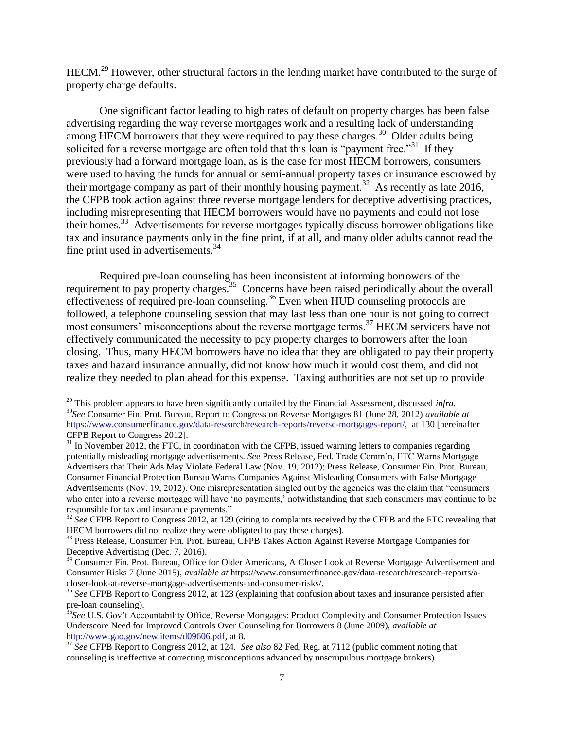HECM.<sup>29</sup> However, other structural factors in the lending market have contributed to the surge of property charge defaults.

One significant factor leading to high rates of default on property charges has been false advertising regarding the way reverse mortgages work and a resulting lack of understanding among HECM borrowers that they were required to pay these charges.<sup>30</sup> Older adults being solicited for a reverse mortgage are often told that this loan is "payment free."<sup>31</sup> If they previously had a forward mortgage loan, as is the case for most HECM borrowers, consumers were used to having the funds for annual or semi-annual property taxes or insurance escrowed by their mortgage company as part of their monthly housing payment.<sup>32</sup> As recently as late 2016, the CFPB took action against three reverse mortgage lenders for deceptive advertising practices, including misrepresenting that HECM borrowers would have no payments and could not lose their homes.<sup>33</sup> Advertisements for reverse mortgages typically discuss borrower obligations like tax and insurance payments only in the fine print, if at all, and many older adults cannot read the fine print used in advertisements.<sup>34</sup>

Required pre-loan counseling has been inconsistent at informing borrowers of the requirement to pay property charges.<sup>35</sup> Concerns have been raised periodically about the overall effectiveness of required pre-loan counseling.<sup>36</sup> Even when HUD counseling protocols are followed, a telephone counseling session that may last less than one hour is not going to correct most consumers' misconceptions about the reverse mortgage terms.<sup>37</sup> HECM servicers have not effectively communicated the necessity to pay property charges to borrowers after the loan closing. Thus, many HECM borrowers have no idea that they are obligated to pay their property taxes and hazard insurance annually, did not know how much it would cost them, and did not realize they needed to plan ahead for this expense. Taxing authorities are not set up to provide

<sup>29</sup> This problem appears to have been significantly curtailed by the Financial Assessment, discussed *infra.*  <sup>30</sup>*See* Consumer Fin. Prot. Bureau, Report to Congress on Reverse Mortgages 81 (June 28, 2012) *available at* [https://www.consumerfinance.gov/data-research/research-reports/reverse-mortgages-report/,](https://www.consumerfinance.gov/data-research/research-reports/reverse-mortgages-report/) at 130 [hereinafter CFPB Report to Congress 2012].

 $31$  In November 2012, the FTC, in coordination with the CFPB, issued warning letters to companies regarding potentially misleading mortgage advertisements. *See* Press Release, Fed. Trade Comm'n, FTC Warns Mortgage Advertisers that Their Ads May Violate Federal Law (Nov. 19, 2012); Press Release, Consumer Fin. Prot. Bureau, Consumer Financial Protection Bureau Warns Companies Against Misleading Consumers with False Mortgage Advertisements (Nov. 19, 2012). One misrepresentation singled out by the agencies was the claim that "consumers who enter into a reverse mortgage will have 'no payments,' notwithstanding that such consumers may continue to be responsible for tax and insurance payments."

<sup>&</sup>lt;sup>32</sup> See CFPB Report to Congress 2012, at 129 (citing to complaints received by the CFPB and the FTC revealing that HECM borrowers did not realize they were obligated to pay these charges).

<sup>&</sup>lt;sup>33</sup> Press Release, Consumer Fin. Prot. Bureau, CFPB Takes Action Against Reverse Mortgage Companies for Deceptive Advertising (Dec. 7, 2016).

<sup>&</sup>lt;sup>34</sup> Consumer Fin. Prot. Bureau, Office for Older Americans, A Closer Look at Reverse Mortgage Advertisement and Consumer Risks 7 (June 2015), *available at* [https://www.consumerfinance.gov/data-research/research-reports/a](https://www.consumerfinance.gov/data-research/research-reports/a-closer-look-at-reverse-mortgage-advertisements-and-consumer-risks/)[closer-look-at-reverse-mortgage-advertisements-and-consumer-risks/.](https://www.consumerfinance.gov/data-research/research-reports/a-closer-look-at-reverse-mortgage-advertisements-and-consumer-risks/)

<sup>35</sup> *See* CFPB Report to Congress 2012, at 123 (explaining that confusion about taxes and insurance persisted after pre-loan counseling).

<sup>&</sup>lt;sup>36</sup>See U.S. Gov't Accountability Office, Reverse Mortgages: Product Complexity and Consumer Protection Issues Underscore Need for Improved Controls Over Counseling for Borrowers 8 (June 2009), *available at* [http://www.gao.gov/new.items/d09606.pdf,](http://www.gao.gov/new.items/d09606.pdf) at 8.

<sup>37</sup> *See* CFPB Report to Congress 2012, at 124. *See also* 82 Fed. Reg. at 7112 (public comment noting that counseling is ineffective at correcting misconceptions advanced by unscrupulous mortgage brokers).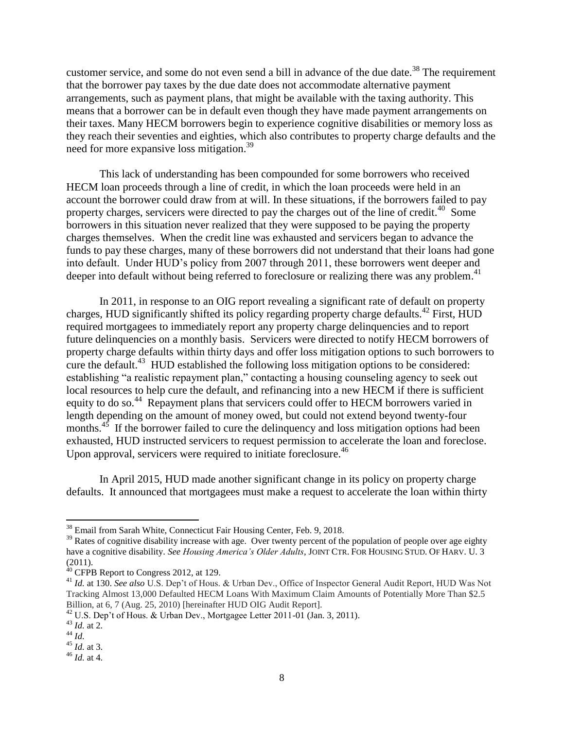customer service, and some do not even send a bill in advance of the due date.<sup>38</sup> The requirement that the borrower pay taxes by the due date does not accommodate alternative payment arrangements, such as payment plans, that might be available with the taxing authority. This means that a borrower can be in default even though they have made payment arrangements on their taxes. Many HECM borrowers begin to experience cognitive disabilities or memory loss as they reach their seventies and eighties, which also contributes to property charge defaults and the need for more expansive loss mitigation.<sup>39</sup>

This lack of understanding has been compounded for some borrowers who received HECM loan proceeds through a line of credit, in which the loan proceeds were held in an account the borrower could draw from at will. In these situations, if the borrowers failed to pay property charges, servicers were directed to pay the charges out of the line of credit.<sup>40</sup> Some borrowers in this situation never realized that they were supposed to be paying the property charges themselves. When the credit line was exhausted and servicers began to advance the funds to pay these charges, many of these borrowers did not understand that their loans had gone into default. Under HUD's policy from 2007 through 2011, these borrowers went deeper and deeper into default without being referred to foreclosure or realizing there was any problem. 41

In 2011, in response to an OIG report revealing a significant rate of default on property charges, HUD significantly shifted its policy regarding property charge defaults.<sup>42</sup> First, HUD required mortgagees to immediately report any property charge delinquencies and to report future delinquencies on a monthly basis. Servicers were directed to notify HECM borrowers of property charge defaults within thirty days and offer loss mitigation options to such borrowers to cure the default.<sup>43</sup> HUD established the following loss mitigation options to be considered: establishing "a realistic repayment plan," contacting a housing counseling agency to seek out local resources to help cure the default, and refinancing into a new HECM if there is sufficient equity to do so.<sup>44</sup> Repayment plans that servicers could offer to HECM borrowers varied in length depending on the amount of money owed, but could not extend beyond twenty-four months. $45$  If the borrower failed to cure the delinquency and loss mitigation options had been exhausted, HUD instructed servicers to request permission to accelerate the loan and foreclose. Upon approval, servicers were required to initiate foreclosure.<sup>46</sup>

In April 2015, HUD made another significant change in its policy on property charge defaults. It announced that mortgagees must make a request to accelerate the loan within thirty

<sup>&</sup>lt;sup>38</sup> Email from Sarah White, Connecticut Fair Housing Center, Feb. 9, 2018.

<sup>&</sup>lt;sup>39</sup> Rates of cognitive disability increase with age. Over twenty percent of the population of people over age eighty have a cognitive disability. *See Housing America's Older Adults*, JOINT CTR. FOR HOUSING STUD. OF HARV. U. 3 (2011).

 $40$  CFPB Report to Congress 2012, at 129.

<sup>41</sup> *Id.* at 130. *See also* U.S. Dep't of Hous. & Urban Dev., Office of Inspector General Audit Report, HUD Was Not Tracking Almost 13,000 Defaulted HECM Loans With Maximum Claim Amounts of Potentially More Than \$2.5 Billion, at 6, 7 (Aug. 25, 2010) [hereinafter HUD OIG Audit Report].

<sup>&</sup>lt;sup>42</sup> U.S. Dep't of Hous. & Urban Dev., Mortgagee Letter 2011-01 (Jan. 3, 2011).

<sup>43</sup> *Id.* at 2.

<sup>44</sup> *Id.*

<sup>45</sup> *Id.* at 3.

<sup>46</sup> *Id.* at 4.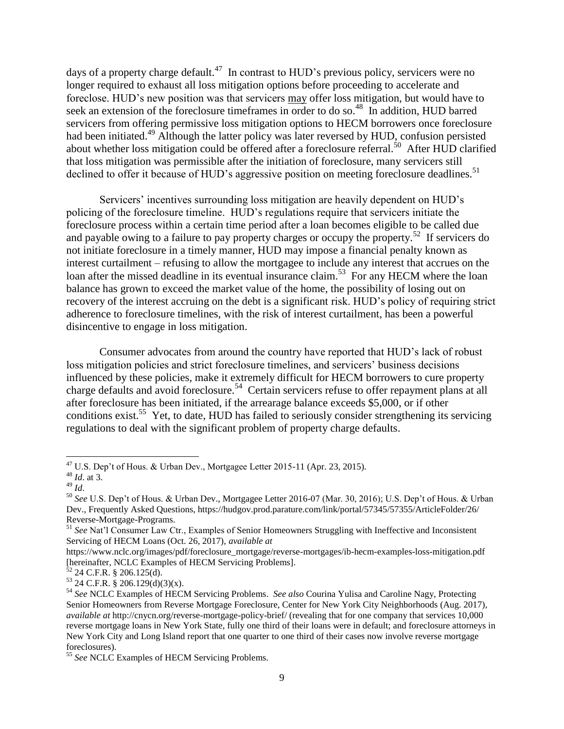days of a property charge default.<sup>47</sup> In contrast to HUD's previous policy, servicers were no longer required to exhaust all loss mitigation options before proceeding to accelerate and foreclose. HUD's new position was that servicers may offer loss mitigation, but would have to seek an extension of the foreclosure timeframes in order to do so.<sup>48</sup> In addition, HUD barred servicers from offering permissive loss mitigation options to HECM borrowers once foreclosure had been initiated.<sup>49</sup> Although the latter policy was later reversed by HUD, confusion persisted about whether loss mitigation could be offered after a foreclosure referral.<sup>50</sup> After HUD clarified that loss mitigation was permissible after the initiation of foreclosure, many servicers still declined to offer it because of HUD's aggressive position on meeting foreclosure deadlines.<sup>51</sup>

Servicers' incentives surrounding loss mitigation are heavily dependent on HUD's policing of the foreclosure timeline. HUD's regulations require that servicers initiate the foreclosure process within a certain time period after a loan becomes eligible to be called due and payable owing to a failure to pay property charges or occupy the property.<sup>52</sup> If servicers do not initiate foreclosure in a timely manner, HUD may impose a financial penalty known as interest curtailment – refusing to allow the mortgagee to include any interest that accrues on the loan after the missed deadline in its eventual insurance claim.<sup>53</sup> For any HECM where the loan balance has grown to exceed the market value of the home, the possibility of losing out on recovery of the interest accruing on the debt is a significant risk. HUD's policy of requiring strict adherence to foreclosure timelines, with the risk of interest curtailment, has been a powerful disincentive to engage in loss mitigation.

Consumer advocates from around the country have reported that HUD's lack of robust loss mitigation policies and strict foreclosure timelines, and servicers' business decisions influenced by these policies, make it extremely difficult for HECM borrowers to cure property charge defaults and avoid foreclosure.<sup>54</sup> Certain servicers refuse to offer repayment plans at all after foreclosure has been initiated, if the arrearage balance exceeds \$5,000, or if other conditions exist.<sup>55</sup> Yet, to date, HUD has failed to seriously consider strengthening its servicing regulations to deal with the significant problem of property charge defaults.

 $^{47}$  U.S. Dep't of Hous. & Urban Dev., Mortgagee Letter 2015-11 (Apr. 23, 2015).

<sup>48</sup> *Id*. at 3.

<sup>49</sup> *Id*.

<sup>50</sup> *See* U.S. Dep't of Hous. & Urban Dev., Mortgagee Letter 2016-07 (Mar. 30, 2016); U.S. Dep't of Hous. & Urban Dev., Frequently Asked Questions, https://hudgov.prod.parature.com/link/portal/57345/57355/ArticleFolder/26/ Reverse-Mortgage-Programs.

<sup>51</sup> *See* Nat'l Consumer Law Ctr., Examples of Senior Homeowners Struggling with Ineffective and Inconsistent Servicing of HECM Loans (Oct. 26, 2017), *available at*

[https://www.nclc.org/images/pdf/foreclosure\\_mortgage/reverse-mortgages/ib-hecm-examples-loss-mitigation.pdf](https://www.nclc.org/images/pdf/foreclosure_mortgage/reverse-mortgages/ib-hecm-examples-loss-mitigation.pdf) [hereinafter, NCLC Examples of HECM Servicing Problems].

 $52$  24 C.F.R. § 206.125(d).

 $53$  24 C.F.R. § 206.129(d)(3)(x).

<sup>54</sup> *See* NCLC Examples of HECM Servicing Problems. *See also* Courina Yulisa and Caroline Nagy, Protecting Senior Homeowners from Reverse Mortgage Foreclosure, Center for New York City Neighborhoods (Aug. 2017), *available at* http://cnycn.org/reverse-mortgage-policy-brief/ (revealing that for one company that services 10,000 reverse mortgage loans in New York State, fully one third of their loans were in default; and foreclosure attorneys in New York City and Long Island report that one quarter to one third of their cases now involve reverse mortgage foreclosures).

<sup>55</sup> *See* NCLC Examples of HECM Servicing Problems.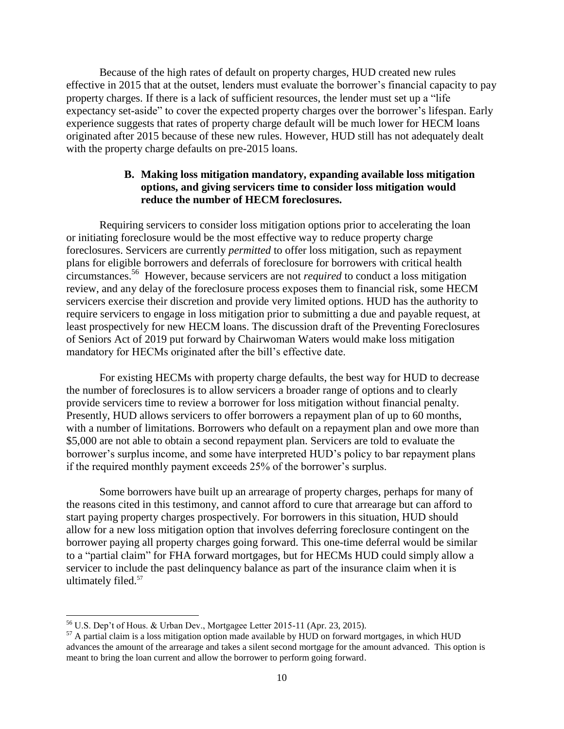Because of the high rates of default on property charges, HUD created new rules effective in 2015 that at the outset, lenders must evaluate the borrower's financial capacity to pay property charges. If there is a lack of sufficient resources, the lender must set up a "life expectancy set-aside" to cover the expected property charges over the borrower's lifespan. Early experience suggests that rates of property charge default will be much lower for HECM loans originated after 2015 because of these new rules. However, HUD still has not adequately dealt with the property charge defaults on pre-2015 loans.

## **B. Making loss mitigation mandatory, expanding available loss mitigation options, and giving servicers time to consider loss mitigation would reduce the number of HECM foreclosures.**

Requiring servicers to consider loss mitigation options prior to accelerating the loan or initiating foreclosure would be the most effective way to reduce property charge foreclosures. Servicers are currently *permitted* to offer loss mitigation, such as repayment plans for eligible borrowers and deferrals of foreclosure for borrowers with critical health circumstances.<sup>56</sup> However, because servicers are not *required* to conduct a loss mitigation review, and any delay of the foreclosure process exposes them to financial risk, some HECM servicers exercise their discretion and provide very limited options. HUD has the authority to require servicers to engage in loss mitigation prior to submitting a due and payable request, at least prospectively for new HECM loans. The discussion draft of the Preventing Foreclosures of Seniors Act of 2019 put forward by Chairwoman Waters would make loss mitigation mandatory for HECMs originated after the bill's effective date.

For existing HECMs with property charge defaults, the best way for HUD to decrease the number of foreclosures is to allow servicers a broader range of options and to clearly provide servicers time to review a borrower for loss mitigation without financial penalty. Presently, HUD allows servicers to offer borrowers a repayment plan of up to 60 months, with a number of limitations. Borrowers who default on a repayment plan and owe more than \$5,000 are not able to obtain a second repayment plan. Servicers are told to evaluate the borrower's surplus income, and some have interpreted HUD's policy to bar repayment plans if the required monthly payment exceeds 25% of the borrower's surplus.

Some borrowers have built up an arrearage of property charges, perhaps for many of the reasons cited in this testimony, and cannot afford to cure that arrearage but can afford to start paying property charges prospectively. For borrowers in this situation, HUD should allow for a new loss mitigation option that involves deferring foreclosure contingent on the borrower paying all property charges going forward. This one-time deferral would be similar to a "partial claim" for FHA forward mortgages, but for HECMs HUD could simply allow a servicer to include the past delinquency balance as part of the insurance claim when it is ultimately filed.<sup>57</sup>

 $56$  U.S. Dep't of Hous. & Urban Dev., Mortgagee Letter 2015-11 (Apr. 23, 2015).

 $57$  A partial claim is a loss mitigation option made available by HUD on forward mortgages, in which HUD advances the amount of the arrearage and takes a silent second mortgage for the amount advanced. This option is meant to bring the loan current and allow the borrower to perform going forward.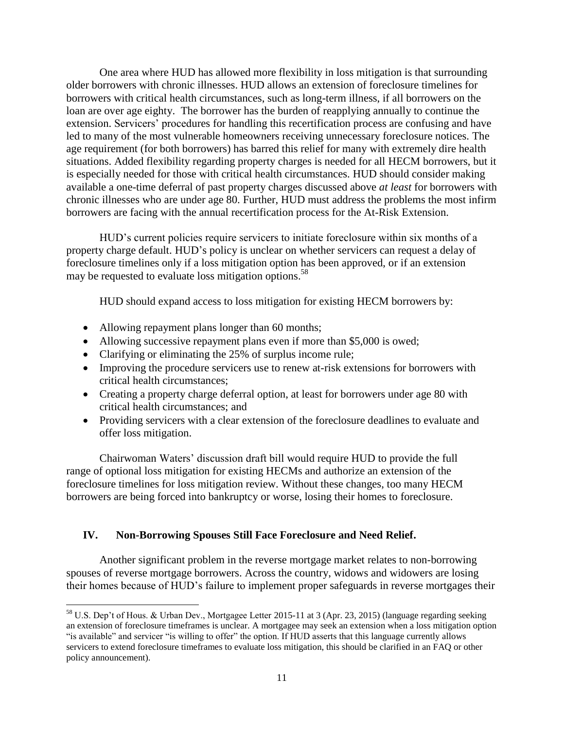One area where HUD has allowed more flexibility in loss mitigation is that surrounding older borrowers with chronic illnesses. HUD allows an extension of foreclosure timelines for borrowers with critical health circumstances, such as long-term illness, if all borrowers on the loan are over age eighty. The borrower has the burden of reapplying annually to continue the extension. Servicers' procedures for handling this recertification process are confusing and have led to many of the most vulnerable homeowners receiving unnecessary foreclosure notices. The age requirement (for both borrowers) has barred this relief for many with extremely dire health situations. Added flexibility regarding property charges is needed for all HECM borrowers, but it is especially needed for those with critical health circumstances. HUD should consider making available a one-time deferral of past property charges discussed above *at least* for borrowers with chronic illnesses who are under age 80. Further, HUD must address the problems the most infirm borrowers are facing with the annual recertification process for the At-Risk Extension.

HUD's current policies require servicers to initiate foreclosure within six months of a property charge default. HUD's policy is unclear on whether servicers can request a delay of foreclosure timelines only if a loss mitigation option has been approved, or if an extension may be requested to evaluate loss mitigation options.<sup>58</sup>

HUD should expand access to loss mitigation for existing HECM borrowers by:

- Allowing repayment plans longer than 60 months;
- Allowing successive repayment plans even if more than \$5,000 is owed;
- Clarifying or eliminating the 25% of surplus income rule;
- Improving the procedure servicers use to renew at-risk extensions for borrowers with critical health circumstances;
- Creating a property charge deferral option, at least for borrowers under age 80 with critical health circumstances; and
- Providing servicers with a clear extension of the foreclosure deadlines to evaluate and offer loss mitigation.

Chairwoman Waters' discussion draft bill would require HUD to provide the full range of optional loss mitigation for existing HECMs and authorize an extension of the foreclosure timelines for loss mitigation review. Without these changes, too many HECM borrowers are being forced into bankruptcy or worse, losing their homes to foreclosure.

# **IV. Non-Borrowing Spouses Still Face Foreclosure and Need Relief.**

Another significant problem in the reverse mortgage market relates to non-borrowing spouses of reverse mortgage borrowers. Across the country, widows and widowers are losing their homes because of HUD's failure to implement proper safeguards in reverse mortgages their

 $\overline{a}$ <sup>58</sup> U.S. Dep't of Hous. & Urban Dev., Mortgagee Letter 2015-11 at 3 (Apr. 23, 2015) (language regarding seeking an extension of foreclosure timeframes is unclear. A mortgagee may seek an extension when a loss mitigation option "is available" and servicer "is willing to offer" the option. If HUD asserts that this language currently allows servicers to extend foreclosure timeframes to evaluate loss mitigation, this should be clarified in an FAQ or other policy announcement).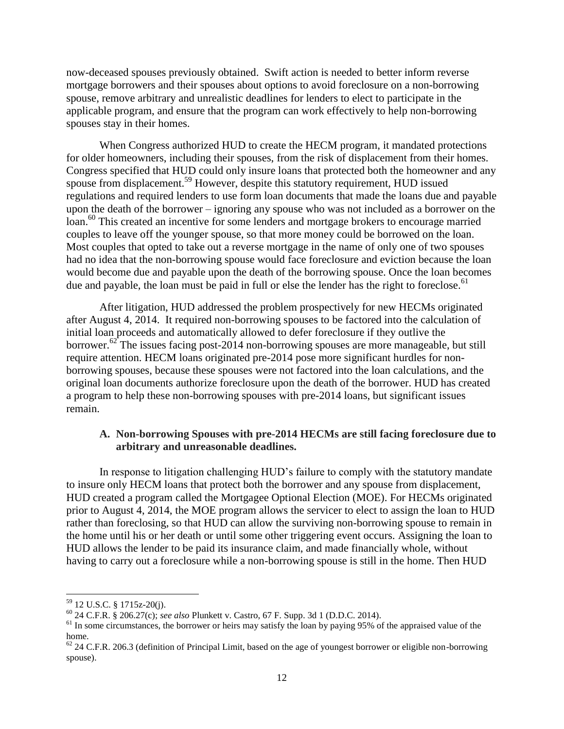now-deceased spouses previously obtained. Swift action is needed to better inform reverse mortgage borrowers and their spouses about options to avoid foreclosure on a non-borrowing spouse, remove arbitrary and unrealistic deadlines for lenders to elect to participate in the applicable program, and ensure that the program can work effectively to help non-borrowing spouses stay in their homes.

When Congress authorized HUD to create the HECM program, it mandated protections for older homeowners, including their spouses, from the risk of displacement from their homes. Congress specified that HUD could only insure loans that protected both the homeowner and any spouse from displacement.<sup>59</sup> However, despite this statutory requirement, HUD issued regulations and required lenders to use form loan documents that made the loans due and payable upon the death of the borrower – ignoring any spouse who was not included as a borrower on the loan.<sup>60</sup> This created an incentive for some lenders and mortgage brokers to encourage married couples to leave off the younger spouse, so that more money could be borrowed on the loan. Most couples that opted to take out a reverse mortgage in the name of only one of two spouses had no idea that the non-borrowing spouse would face foreclosure and eviction because the loan would become due and payable upon the death of the borrowing spouse. Once the loan becomes due and payable, the loan must be paid in full or else the lender has the right to foreclose.<sup>61</sup>

After litigation, HUD addressed the problem prospectively for new HECMs originated after August 4, 2014. It required non-borrowing spouses to be factored into the calculation of initial loan proceeds and automatically allowed to defer foreclosure if they outlive the borrower.<sup>62</sup> The issues facing post-2014 non-borrowing spouses are more manageable, but still require attention. HECM loans originated pre-2014 pose more significant hurdles for nonborrowing spouses, because these spouses were not factored into the loan calculations, and the original loan documents authorize foreclosure upon the death of the borrower. HUD has created a program to help these non-borrowing spouses with pre-2014 loans, but significant issues remain.

#### **A. Non-borrowing Spouses with pre-2014 HECMs are still facing foreclosure due to arbitrary and unreasonable deadlines.**

In response to litigation challenging HUD's failure to comply with the statutory mandate to insure only HECM loans that protect both the borrower and any spouse from displacement, HUD created a program called the Mortgagee Optional Election (MOE). For HECMs originated prior to August 4, 2014, the MOE program allows the servicer to elect to assign the loan to HUD rather than foreclosing, so that HUD can allow the surviving non-borrowing spouse to remain in the home until his or her death or until some other triggering event occurs. Assigning the loan to HUD allows the lender to be paid its insurance claim, and made financially whole, without having to carry out a foreclosure while a non-borrowing spouse is still in the home. Then HUD

l

 $59$  12 U.S.C. § 1715z-20(j).

<sup>60</sup> 24 C.F.R. § 206.27(c); *see also* Plunkett v. Castro, 67 F. Supp. 3d 1 (D.D.C. 2014).

<sup>&</sup>lt;sup>61</sup> In some circumstances, the borrower or heirs may satisfy the loan by paying 95% of the appraised value of the home.

 $62$  24 C.F.R. 206.3 (definition of Principal Limit, based on the age of youngest borrower or eligible non-borrowing spouse).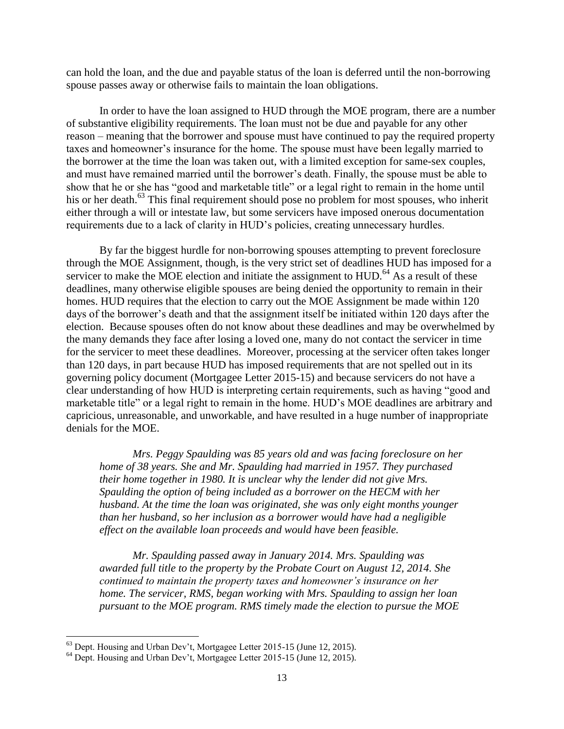can hold the loan, and the due and payable status of the loan is deferred until the non-borrowing spouse passes away or otherwise fails to maintain the loan obligations.

In order to have the loan assigned to HUD through the MOE program, there are a number of substantive eligibility requirements. The loan must not be due and payable for any other reason – meaning that the borrower and spouse must have continued to pay the required property taxes and homeowner's insurance for the home. The spouse must have been legally married to the borrower at the time the loan was taken out, with a limited exception for same-sex couples, and must have remained married until the borrower's death. Finally, the spouse must be able to show that he or she has "good and marketable title" or a legal right to remain in the home until his or her death.<sup>63</sup> This final requirement should pose no problem for most spouses, who inherit either through a will or intestate law, but some servicers have imposed onerous documentation requirements due to a lack of clarity in HUD's policies, creating unnecessary hurdles.

By far the biggest hurdle for non-borrowing spouses attempting to prevent foreclosure through the MOE Assignment, though, is the very strict set of deadlines HUD has imposed for a servicer to make the MOE election and initiate the assignment to  $HUD$ .<sup>64</sup> As a result of these deadlines, many otherwise eligible spouses are being denied the opportunity to remain in their homes. HUD requires that the election to carry out the MOE Assignment be made within 120 days of the borrower's death and that the assignment itself be initiated within 120 days after the election. Because spouses often do not know about these deadlines and may be overwhelmed by the many demands they face after losing a loved one, many do not contact the servicer in time for the servicer to meet these deadlines. Moreover, processing at the servicer often takes longer than 120 days, in part because HUD has imposed requirements that are not spelled out in its governing policy document (Mortgagee Letter 2015-15) and because servicers do not have a clear understanding of how HUD is interpreting certain requirements, such as having "good and marketable title" or a legal right to remain in the home. HUD's MOE deadlines are arbitrary and capricious, unreasonable, and unworkable, and have resulted in a huge number of inappropriate denials for the MOE.

*Mrs. Peggy Spaulding was 85 years old and was facing foreclosure on her home of 38 years. She and Mr. Spaulding had married in 1957. They purchased their home together in 1980. It is unclear why the lender did not give Mrs. Spaulding the option of being included as a borrower on the HECM with her husband. At the time the loan was originated, she was only eight months younger than her husband, so her inclusion as a borrower would have had a negligible effect on the available loan proceeds and would have been feasible.*

*Mr. Spaulding passed away in January 2014. Mrs. Spaulding was awarded full title to the property by the Probate Court on August 12, 2014. She continued to maintain the property taxes and homeowner's insurance on her home. The servicer, RMS, began working with Mrs. Spaulding to assign her loan pursuant to the MOE program. RMS timely made the election to pursue the MOE* 

 $63$  Dept. Housing and Urban Dev't, Mortgagee Letter 2015-15 (June 12, 2015).

<sup>&</sup>lt;sup>64</sup> Dept. Housing and Urban Dev't, Mortgagee Letter 2015-15 (June 12, 2015).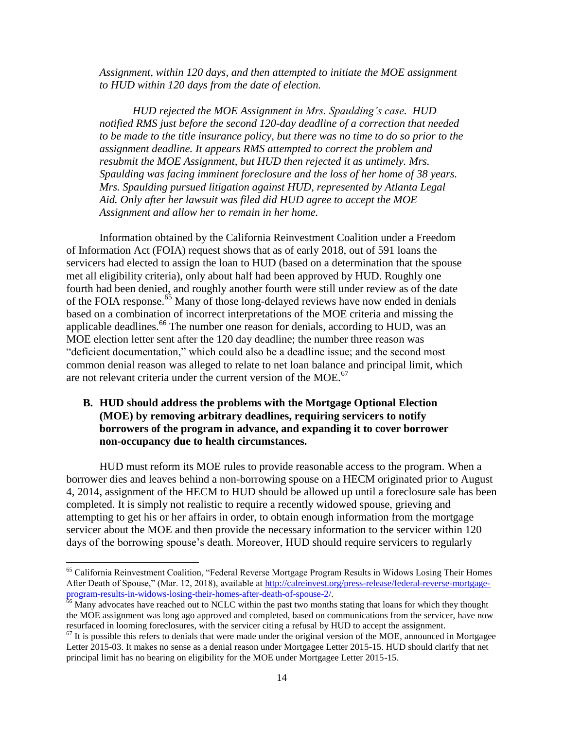*Assignment, within 120 days, and then attempted to initiate the MOE assignment to HUD within 120 days from the date of election.* 

*HUD rejected the MOE Assignment in Mrs. Spaulding's case. HUD notified RMS just before the second 120-day deadline of a correction that needed to be made to the title insurance policy, but there was no time to do so prior to the assignment deadline. It appears RMS attempted to correct the problem and resubmit the MOE Assignment, but HUD then rejected it as untimely. Mrs. Spaulding was facing imminent foreclosure and the loss of her home of 38 years. Mrs. Spaulding pursued litigation against HUD, represented by Atlanta Legal Aid. Only after her lawsuit was filed did HUD agree to accept the MOE Assignment and allow her to remain in her home.* 

Information obtained by the California Reinvestment Coalition under a Freedom of Information Act (FOIA) request shows that as of early 2018, out of 591 loans the servicers had elected to assign the loan to HUD (based on a determination that the spouse met all eligibility criteria), only about half had been approved by HUD. Roughly one fourth had been denied, and roughly another fourth were still under review as of the date of the FOIA response.<sup>65</sup> Many of those long-delayed reviews have now ended in denials based on a combination of incorrect interpretations of the MOE criteria and missing the applicable deadlines.<sup>66</sup> The number one reason for denials, according to HUD, was an MOE election letter sent after the 120 day deadline; the number three reason was "deficient documentation," which could also be a deadline issue; and the second most common denial reason was alleged to relate to net loan balance and principal limit, which are not relevant criteria under the current version of the  $MOE<sub>0</sub>$ <sup>67</sup>

#### **B. HUD should address the problems with the Mortgage Optional Election (MOE) by removing arbitrary deadlines, requiring servicers to notify borrowers of the program in advance, and expanding it to cover borrower non-occupancy due to health circumstances.**

HUD must reform its MOE rules to provide reasonable access to the program. When a borrower dies and leaves behind a non-borrowing spouse on a HECM originated prior to August 4, 2014, assignment of the HECM to HUD should be allowed up until a foreclosure sale has been completed. It is simply not realistic to require a recently widowed spouse, grieving and attempting to get his or her affairs in order, to obtain enough information from the mortgage servicer about the MOE and then provide the necessary information to the servicer within 120 days of the borrowing spouse's death. Moreover, HUD should require servicers to regularly

<sup>&</sup>lt;sup>65</sup> California Reinvestment Coalition, "Federal Reverse Mortgage Program Results in Widows Losing Their Homes After Death of Spouse," (Mar. 12, 2018), available at [http://calreinvest.org/press-release/federal-reverse-mortgage](http://calreinvest.org/press-release/federal-reverse-mortgage-program-results-in-widows-losing-their-homes-after-death-of-spouse-2/)[program-results-in-widows-losing-their-homes-after-death-of-spouse-2/.](http://calreinvest.org/press-release/federal-reverse-mortgage-program-results-in-widows-losing-their-homes-after-death-of-spouse-2/)

 $66$  Many advocates have reached out to NCLC within the past two months stating that loans for which they thought the MOE assignment was long ago approved and completed, based on communications from the servicer, have now resurfaced in looming foreclosures, with the servicer citing a refusal by HUD to accept the assignment.

 $67$  It is possible this refers to denials that were made under the original version of the MOE, announced in Mortgagee Letter 2015-03. It makes no sense as a denial reason under Mortgagee Letter 2015-15. HUD should clarify that net principal limit has no bearing on eligibility for the MOE under Mortgagee Letter 2015-15.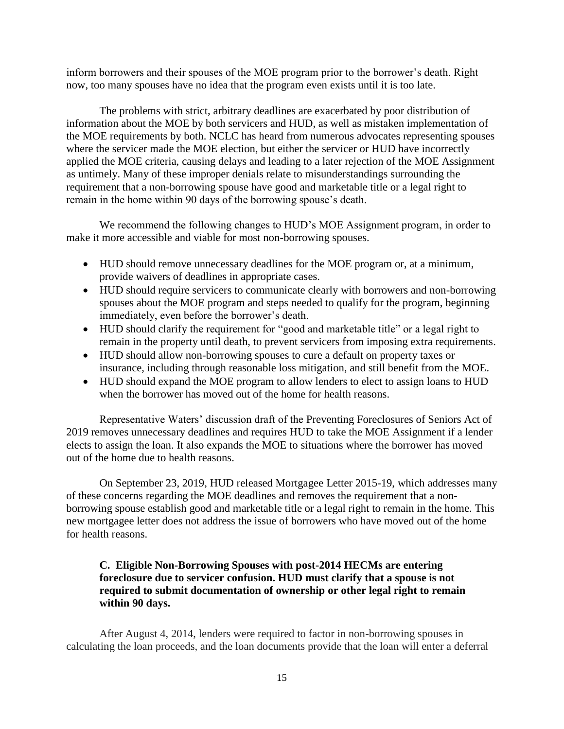inform borrowers and their spouses of the MOE program prior to the borrower's death. Right now, too many spouses have no idea that the program even exists until it is too late.

The problems with strict, arbitrary deadlines are exacerbated by poor distribution of information about the MOE by both servicers and HUD, as well as mistaken implementation of the MOE requirements by both. NCLC has heard from numerous advocates representing spouses where the servicer made the MOE election, but either the servicer or HUD have incorrectly applied the MOE criteria, causing delays and leading to a later rejection of the MOE Assignment as untimely. Many of these improper denials relate to misunderstandings surrounding the requirement that a non-borrowing spouse have good and marketable title or a legal right to remain in the home within 90 days of the borrowing spouse's death.

We recommend the following changes to HUD's MOE Assignment program, in order to make it more accessible and viable for most non-borrowing spouses.

- HUD should remove unnecessary deadlines for the MOE program or, at a minimum, provide waivers of deadlines in appropriate cases.
- HUD should require servicers to communicate clearly with borrowers and non-borrowing spouses about the MOE program and steps needed to qualify for the program, beginning immediately, even before the borrower's death.
- HUD should clarify the requirement for "good and marketable title" or a legal right to remain in the property until death, to prevent servicers from imposing extra requirements.
- HUD should allow non-borrowing spouses to cure a default on property taxes or insurance, including through reasonable loss mitigation, and still benefit from the MOE.
- HUD should expand the MOE program to allow lenders to elect to assign loans to HUD when the borrower has moved out of the home for health reasons.

Representative Waters' discussion draft of the Preventing Foreclosures of Seniors Act of 2019 removes unnecessary deadlines and requires HUD to take the MOE Assignment if a lender elects to assign the loan. It also expands the MOE to situations where the borrower has moved out of the home due to health reasons.

On September 23, 2019, HUD released Mortgagee Letter 2015-19, which addresses many of these concerns regarding the MOE deadlines and removes the requirement that a nonborrowing spouse establish good and marketable title or a legal right to remain in the home. This new mortgagee letter does not address the issue of borrowers who have moved out of the home for health reasons.

## **C. Eligible Non-Borrowing Spouses with post-2014 HECMs are entering foreclosure due to servicer confusion. HUD must clarify that a spouse is not required to submit documentation of ownership or other legal right to remain within 90 days.**

After August 4, 2014, lenders were required to factor in non-borrowing spouses in calculating the loan proceeds, and the loan documents provide that the loan will enter a deferral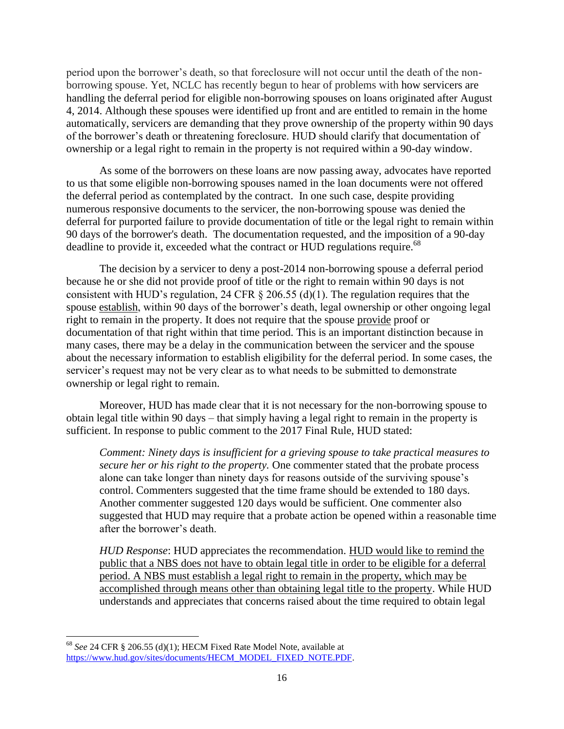period upon the borrower's death, so that foreclosure will not occur until the death of the nonborrowing spouse. Yet, NCLC has recently begun to hear of problems with how servicers are handling the deferral period for eligible non-borrowing spouses on loans originated after August 4, 2014. Although these spouses were identified up front and are entitled to remain in the home automatically, servicers are demanding that they prove ownership of the property within 90 days of the borrower's death or threatening foreclosure. HUD should clarify that documentation of ownership or a legal right to remain in the property is not required within a 90-day window.

As some of the borrowers on these loans are now passing away, advocates have reported to us that some eligible non-borrowing spouses named in the loan documents were not offered the deferral period as contemplated by the contract. In one such case, despite providing numerous responsive documents to the servicer, the non-borrowing spouse was denied the deferral for purported failure to provide documentation of title or the legal right to remain within 90 days of the borrower's death. The documentation requested, and the imposition of a 90-day deadline to provide it, exceeded what the contract or HUD regulations require.<sup>68</sup>

The decision by a servicer to deny a post-2014 non-borrowing spouse a deferral period because he or she did not provide proof of title or the right to remain within 90 days is not consistent with HUD's regulation, 24 CFR  $\S$  206.55 (d)(1). The regulation requires that the spouse establish, within 90 days of the borrower's death, legal ownership or other ongoing legal right to remain in the property. It does not require that the spouse provide proof or documentation of that right within that time period. This is an important distinction because in many cases, there may be a delay in the communication between the servicer and the spouse about the necessary information to establish eligibility for the deferral period. In some cases, the servicer's request may not be very clear as to what needs to be submitted to demonstrate ownership or legal right to remain.

Moreover, HUD has made clear that it is not necessary for the non-borrowing spouse to obtain legal title within 90 days – that simply having a legal right to remain in the property is sufficient. In response to public comment to the 2017 Final Rule, HUD stated:

*Comment: Ninety days is insufficient for a grieving spouse to take practical measures to secure her or his right to the property.* One commenter stated that the probate process alone can take longer than ninety days for reasons outside of the surviving spouse's control. Commenters suggested that the time frame should be extended to 180 days. Another commenter suggested 120 days would be sufficient. One commenter also suggested that HUD may require that a probate action be opened within a reasonable time after the borrower's death.

*HUD Response*: HUD appreciates the recommendation. HUD would like to remind the public that a NBS does not have to obtain legal title in order to be eligible for a deferral period. A NBS must establish a legal right to remain in the property, which may be accomplished through means other than obtaining legal title to the property. While HUD understands and appreciates that concerns raised about the time required to obtain legal

 $\overline{\phantom{a}}$ <sup>68</sup> *See* 24 CFR § 206.55 (d)(1); HECM Fixed Rate Model Note, available at [https://www.hud.gov/sites/documents/HECM\\_MODEL\\_FIXED\\_NOTE.PDF.](https://www.hud.gov/sites/documents/HECM_MODEL_FIXED_NOTE.PDF)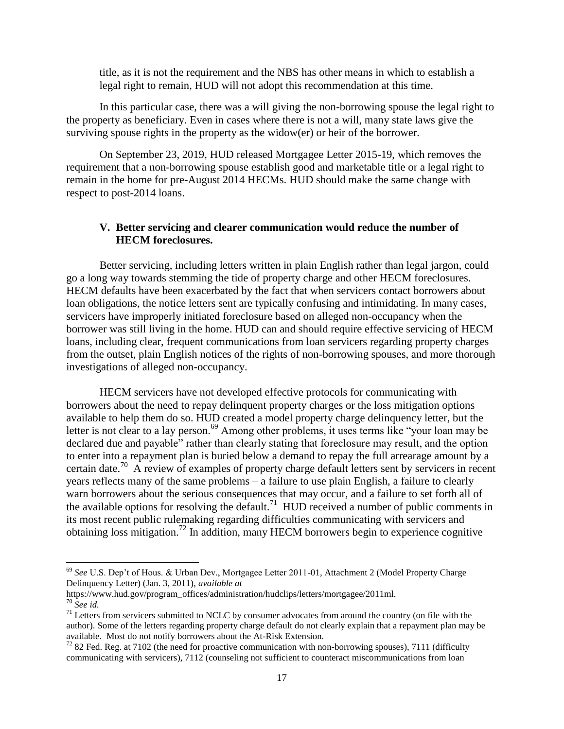title, as it is not the requirement and the NBS has other means in which to establish a legal right to remain, HUD will not adopt this recommendation at this time.

In this particular case, there was a will giving the non-borrowing spouse the legal right to the property as beneficiary. Even in cases where there is not a will, many state laws give the surviving spouse rights in the property as the widow(er) or heir of the borrower.

On September 23, 2019, HUD released Mortgagee Letter 2015-19, which removes the requirement that a non-borrowing spouse establish good and marketable title or a legal right to remain in the home for pre-August 2014 HECMs. HUD should make the same change with respect to post-2014 loans.

#### **V. Better servicing and clearer communication would reduce the number of HECM foreclosures.**

Better servicing, including letters written in plain English rather than legal jargon, could go a long way towards stemming the tide of property charge and other HECM foreclosures. HECM defaults have been exacerbated by the fact that when servicers contact borrowers about loan obligations, the notice letters sent are typically confusing and intimidating. In many cases, servicers have improperly initiated foreclosure based on alleged non-occupancy when the borrower was still living in the home. HUD can and should require effective servicing of HECM loans, including clear, frequent communications from loan servicers regarding property charges from the outset, plain English notices of the rights of non-borrowing spouses, and more thorough investigations of alleged non-occupancy.

HECM servicers have not developed effective protocols for communicating with borrowers about the need to repay delinquent property charges or the loss mitigation options available to help them do so. HUD created a model property charge delinquency letter, but the letter is not clear to a lay person.<sup>69</sup> Among other problems, it uses terms like "your loan may be declared due and payable" rather than clearly stating that foreclosure may result, and the option to enter into a repayment plan is buried below a demand to repay the full arrearage amount by a certain date.<sup>70</sup> A review of examples of property charge default letters sent by servicers in recent years reflects many of the same problems – a failure to use plain English, a failure to clearly warn borrowers about the serious consequences that may occur, and a failure to set forth all of the available options for resolving the default.<sup>71</sup> HUD received a number of public comments in its most recent public rulemaking regarding difficulties communicating with servicers and obtaining loss mitigation.<sup>72</sup> In addition, many HECM borrowers begin to experience cognitive

<sup>69</sup> *See* U.S. Dep't of Hous. & Urban Dev., Mortgagee Letter 2011-01, Attachment 2 (Model Property Charge Delinquency Letter) (Jan. 3, 2011), *available at*

https://www.hud.gov/program\_offices/administration/hudclips/letters/mortgagee/2011ml. <sup>70</sup> *See id.*

 $71$  Letters from servicers submitted to NCLC by consumer advocates from around the country (on file with the author). Some of the letters regarding property charge default do not clearly explain that a repayment plan may be available. Most do not notify borrowers about the At-Risk Extension.

 $72$  82 Fed. Reg. at 7102 (the need for proactive communication with non-borrowing spouses), 7111 (difficulty communicating with servicers), 7112 (counseling not sufficient to counteract miscommunications from loan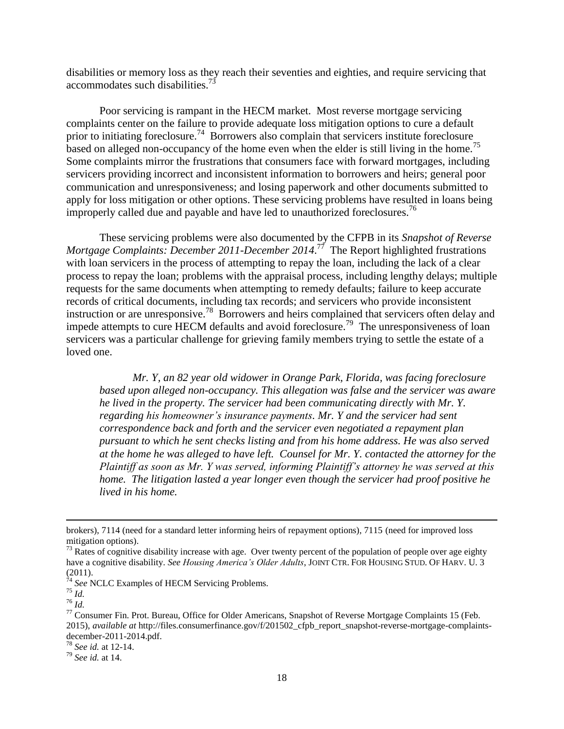disabilities or memory loss as they reach their seventies and eighties, and require servicing that accommodates such disabilities.<sup>73</sup>

Poor servicing is rampant in the HECM market. Most reverse mortgage servicing complaints center on the failure to provide adequate loss mitigation options to cure a default prior to initiating foreclosure.<sup>74</sup> Borrowers also complain that servicers institute foreclosure based on alleged non-occupancy of the home even when the elder is still living in the home.<sup>75</sup> Some complaints mirror the frustrations that consumers face with forward mortgages, including servicers providing incorrect and inconsistent information to borrowers and heirs; general poor communication and unresponsiveness; and losing paperwork and other documents submitted to apply for loss mitigation or other options. These servicing problems have resulted in loans being improperly called due and payable and have led to unauthorized foreclosures.<sup>76</sup>

These servicing problems were also documented by the CFPB in its *Snapshot of Reverse*  Mortgage Complaints: December 2011-December 2014.<sup>77</sup> The Report highlighted frustrations with loan servicers in the process of attempting to repay the loan, including the lack of a clear process to repay the loan; problems with the appraisal process, including lengthy delays; multiple requests for the same documents when attempting to remedy defaults; failure to keep accurate records of critical documents, including tax records; and servicers who provide inconsistent instruction or are unresponsive.<sup>78</sup> Borrowers and heirs complained that servicers often delay and impede attempts to cure HECM defaults and avoid foreclosure.<sup>79</sup> The unresponsiveness of loan servicers was a particular challenge for grieving family members trying to settle the estate of a loved one.

*Mr. Y, an 82 year old widower in Orange Park, Florida, was facing foreclosure based upon alleged non-occupancy. This allegation was false and the servicer was aware he lived in the property. The servicer had been communicating directly with Mr. Y. regarding his homeowner's insurance payments. Mr. Y and the servicer had sent correspondence back and forth and the servicer even negotiated a repayment plan pursuant to which he sent checks listing and from his home address. He was also served at the home he was alleged to have left. Counsel for Mr. Y. contacted the attorney for the Plaintiff as soon as Mr. Y was served, informing Plaintiff's attorney he was served at this home. The litigation lasted a year longer even though the servicer had proof positive he lived in his home.* 

brokers), 7114 (need for a standard letter informing heirs of repayment options), 7115 (need for improved loss mitigation options).

 $73$  Rates of cognitive disability increase with age. Over twenty percent of the population of people over age eighty have a cognitive disability. *See Housing America's Older Adults*, JOINT CTR. FOR HOUSING STUD. OF HARV. U. 3 (2011).

<sup>74</sup> *See* NCLC Examples of HECM Servicing Problems.

<sup>75</sup> *Id.*

<sup>76</sup> *Id.*

 $77$  Consumer Fin. Prot. Bureau, Office for Older Americans, Snapshot of Reverse Mortgage Complaints 15 (Feb. 2015), *available at* http://files.consumerfinance.gov/f/201502\_cfpb\_report\_snapshot-reverse-mortgage-complaintsdecember-2011-2014.pdf.

<sup>78</sup> *See id.* at 12-14.

<sup>79</sup> *See id.* at 14.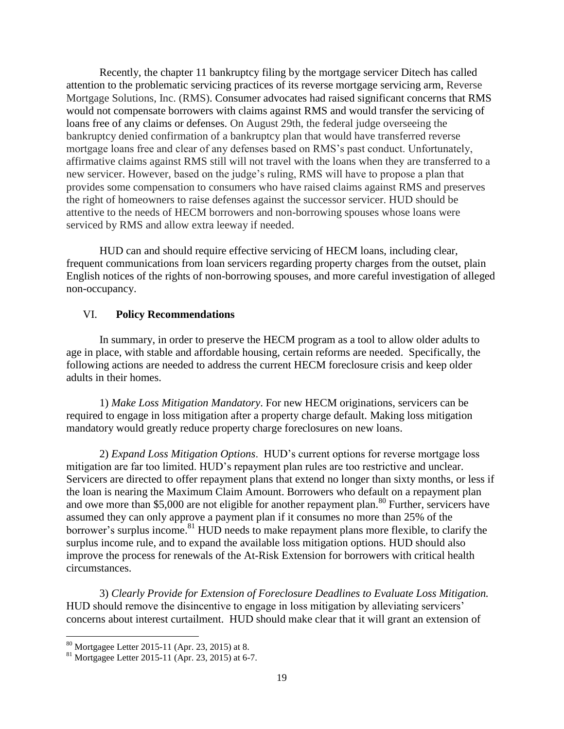Recently, the chapter 11 bankruptcy filing by the mortgage servicer Ditech has called attention to the problematic servicing practices of its reverse mortgage servicing arm, Reverse Mortgage Solutions, Inc. (RMS). Consumer advocates had raised significant concerns that RMS would not compensate borrowers with claims against RMS and would transfer the servicing of loans free of any claims or defenses. On August 29th, the federal judge overseeing the bankruptcy denied confirmation of a bankruptcy plan that would have transferred reverse mortgage loans free and clear of any defenses based on RMS's past conduct. Unfortunately, affirmative claims against RMS still will not travel with the loans when they are transferred to a new servicer. However, based on the judge's ruling, RMS will have to propose a plan that provides some compensation to consumers who have raised claims against RMS and preserves the right of homeowners to raise defenses against the successor servicer. HUD should be attentive to the needs of HECM borrowers and non-borrowing spouses whose loans were serviced by RMS and allow extra leeway if needed.

HUD can and should require effective servicing of HECM loans, including clear, frequent communications from loan servicers regarding property charges from the outset, plain English notices of the rights of non-borrowing spouses, and more careful investigation of alleged non-occupancy.

#### VI. **Policy Recommendations**

In summary, in order to preserve the HECM program as a tool to allow older adults to age in place, with stable and affordable housing, certain reforms are needed. Specifically, the following actions are needed to address the current HECM foreclosure crisis and keep older adults in their homes.

1) *Make Loss Mitigation Mandatory*. For new HECM originations, servicers can be required to engage in loss mitigation after a property charge default. Making loss mitigation mandatory would greatly reduce property charge foreclosures on new loans.

2) *Expand Loss Mitigation Options*. HUD's current options for reverse mortgage loss mitigation are far too limited. HUD's repayment plan rules are too restrictive and unclear. Servicers are directed to offer repayment plans that extend no longer than sixty months, or less if the loan is nearing the Maximum Claim Amount. Borrowers who default on a repayment plan and owe more than \$5,000 are not eligible for another repayment plan.<sup>80</sup> Further, servicers have assumed they can only approve a payment plan if it consumes no more than 25% of the borrower's surplus income.<sup>81</sup> HUD needs to make repayment plans more flexible, to clarify the surplus income rule, and to expand the available loss mitigation options. HUD should also improve the process for renewals of the At-Risk Extension for borrowers with critical health circumstances.

3) *Clearly Provide for Extension of Foreclosure Deadlines to Evaluate Loss Mitigation.* HUD should remove the disincentive to engage in loss mitigation by alleviating servicers' concerns about interest curtailment. HUD should make clear that it will grant an extension of

 $80$  Mortgagee Letter 2015-11 (Apr. 23, 2015) at 8.

<sup>81</sup> Mortgagee Letter 2015-11 (Apr. 23, 2015) at 6-7.